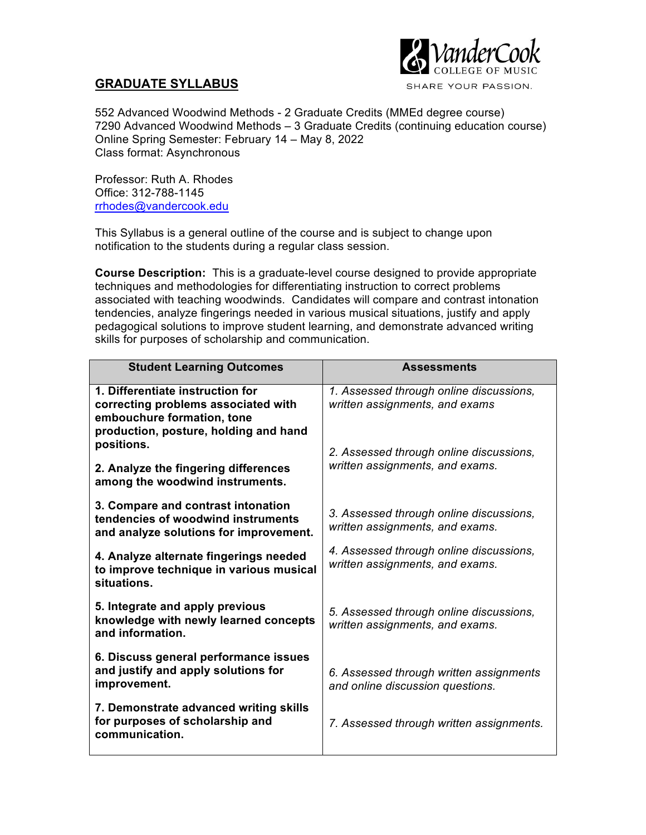

# **GRADUATE SYLLABUS**

552 Advanced Woodwind Methods - 2 Graduate Credits (MMEd degree course) 7290 Advanced Woodwind Methods – 3 Graduate Credits (continuing education course) Online Spring Semester: February 14 – May 8, 2022 Class format: Asynchronous

Professor: Ruth A. Rhodes Office: 312-788-1145 rrhodes@vandercook.edu

This Syllabus is a general outline of the course and is subject to change upon notification to the students during a regular class session.

**Course Description:** This is a graduate-level course designed to provide appropriate techniques and methodologies for differentiating instruction to correct problems associated with teaching woodwinds. Candidates will compare and contrast intonation tendencies, analyze fingerings needed in various musical situations, justify and apply pedagogical solutions to improve student learning, and demonstrate advanced writing skills for purposes of scholarship and communication.

| <b>Student Learning Outcomes</b>                                                                                                               | <b>Assessments</b>                                                          |
|------------------------------------------------------------------------------------------------------------------------------------------------|-----------------------------------------------------------------------------|
| 1. Differentiate instruction for<br>correcting problems associated with<br>embouchure formation, tone<br>production, posture, holding and hand | 1. Assessed through online discussions,<br>written assignments, and exams   |
| positions.<br>2. Analyze the fingering differences<br>among the woodwind instruments.                                                          | 2. Assessed through online discussions,<br>written assignments, and exams.  |
| 3. Compare and contrast intonation<br>tendencies of woodwind instruments<br>and analyze solutions for improvement.                             | 3. Assessed through online discussions,<br>written assignments, and exams.  |
| 4. Analyze alternate fingerings needed<br>to improve technique in various musical<br>situations.                                               | 4. Assessed through online discussions,<br>written assignments, and exams.  |
| 5. Integrate and apply previous<br>knowledge with newly learned concepts<br>and information.                                                   | 5. Assessed through online discussions,<br>written assignments, and exams.  |
| 6. Discuss general performance issues<br>and justify and apply solutions for<br>improvement.                                                   | 6. Assessed through written assignments<br>and online discussion questions. |
| 7. Demonstrate advanced writing skills<br>for purposes of scholarship and<br>communication.                                                    | 7. Assessed through written assignments.                                    |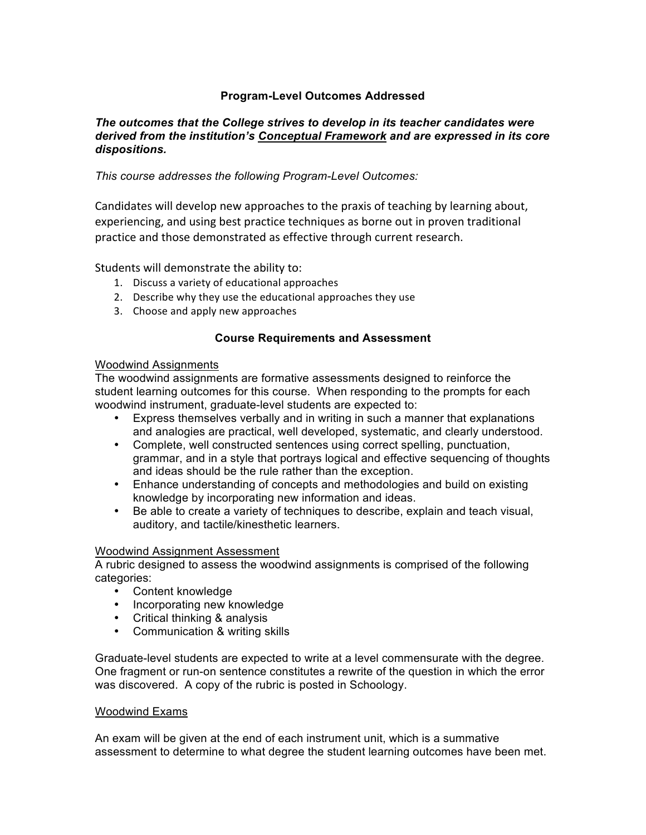# **Program-Level Outcomes Addressed**

## *The outcomes that the College strives to develop in its teacher candidates were derived from the institution's Conceptual Framework and are expressed in its core dispositions.*

# *This course addresses the following Program-Level Outcomes:*

Candidates will develop new approaches to the praxis of teaching by learning about, experiencing, and using best practice techniques as borne out in proven traditional practice and those demonstrated as effective through current research.

Students will demonstrate the ability to:

- 1. Discuss a variety of educational approaches
- 2. Describe why they use the educational approaches they use
- 3. Choose and apply new approaches

## **Course Requirements and Assessment**

## Woodwind Assignments

The woodwind assignments are formative assessments designed to reinforce the student learning outcomes for this course. When responding to the prompts for each woodwind instrument, graduate-level students are expected to:

- Express themselves verbally and in writing in such a manner that explanations and analogies are practical, well developed, systematic, and clearly understood.
- Complete, well constructed sentences using correct spelling, punctuation, grammar, and in a style that portrays logical and effective sequencing of thoughts and ideas should be the rule rather than the exception.
- Enhance understanding of concepts and methodologies and build on existing knowledge by incorporating new information and ideas.
- Be able to create a variety of techniques to describe, explain and teach visual, auditory, and tactile/kinesthetic learners.

## Woodwind Assignment Assessment

A rubric designed to assess the woodwind assignments is comprised of the following categories:

- Content knowledge
- Incorporating new knowledge
- Critical thinking & analysis
- Communication & writing skills

Graduate-level students are expected to write at a level commensurate with the degree. One fragment or run-on sentence constitutes a rewrite of the question in which the error was discovered. A copy of the rubric is posted in Schoology.

## Woodwind Exams

An exam will be given at the end of each instrument unit, which is a summative assessment to determine to what degree the student learning outcomes have been met.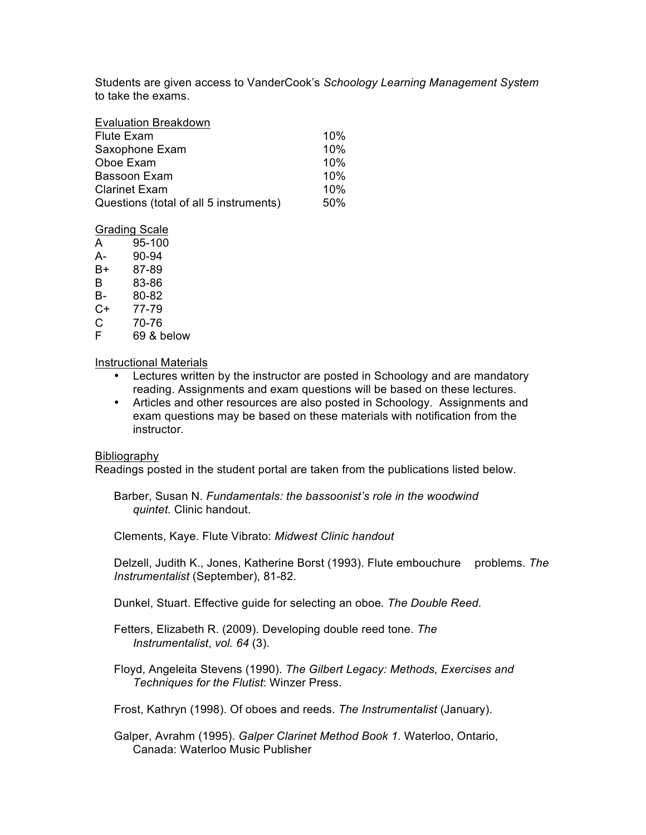Students are given access to VanderCook's *Schoology Learning Management System* to take the exams.

| <b>Evaluation Breakdown</b>            |     |
|----------------------------------------|-----|
| <b>Flute Exam</b>                      | 10% |
| Saxophone Exam                         | 10% |
| Oboe Exam                              | 10% |
| Bassoon Exam                           | 10% |
| <b>Clarinet Exam</b>                   | 10% |
| Questions (total of all 5 instruments) | 50% |

#### Grading Scale

A 95-100

- A- 90-94
- B+ 87-89
- B 83-86
- B- 80-82 C+ 77-79
- 
- C 70-76<br>F 69& b
- 69 & below

## Instructional Materials

- Lectures written by the instructor are posted in Schoology and are mandatory reading. Assignments and exam questions will be based on these lectures.
- Articles and other resources are also posted in Schoology. Assignments and exam questions may be based on these materials with notification from the instructor.

## Bibliography

Readings posted in the student portal are taken from the publications listed below.

Barber, Susan N. *Fundamentals: the bassoonist's role in the woodwind quintet.* Clinic handout.

Clements, Kaye. Flute Vibrato: *Midwest Clinic handout*

Delzell, Judith K., Jones, Katherine Borst (1993). Flute embouchure problems. *The Instrumentalist* (September), 81-82.

Dunkel, Stuart. Effective guide for selecting an oboe*. The Double Reed.*

Fetters, Elizabeth R. (2009). Developing double reed tone. *The Instrumentalist*, *vol. 64* (3).

Floyd, Angeleita Stevens (1990). *The Gilbert Legacy: Methods, Exercises and Techniques for the Flutist*: Winzer Press.

Frost, Kathryn (1998). Of oboes and reeds. *The Instrumentalist* (January).

Galper, Avrahm (1995). *Galper Clarinet Method Book 1.* Waterloo, Ontario, Canada: Waterloo Music Publisher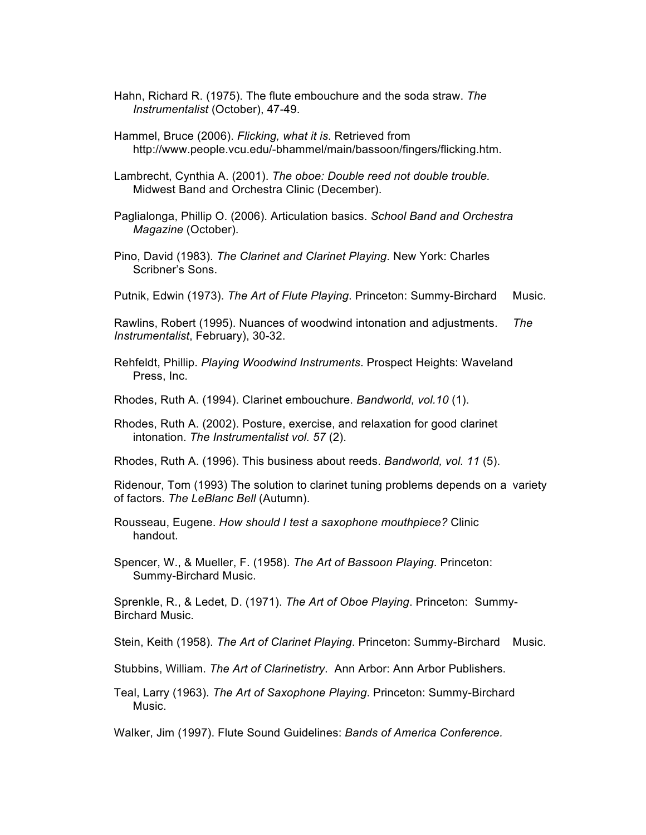- Hahn, Richard R. (1975). The flute embouchure and the soda straw. *The Instrumentalist* (October), 47-49.
- Hammel, Bruce (2006). *Flicking, what it is*. Retrieved from http://www.people.vcu.edu/-bhammel/main/bassoon/fingers/flicking.htm.
- Lambrecht, Cynthia A. (2001). *The oboe: Double reed not double trouble.*  Midwest Band and Orchestra Clinic (December).
- Paglialonga, Phillip O. (2006). Articulation basics. *School Band and Orchestra Magazine* (October).
- Pino, David (1983). *The Clarinet and Clarinet Playing*. New York: Charles Scribner's Sons.
- Putnik, Edwin (1973). *The Art of Flute Playing*. Princeton: Summy-Birchard Music.

Rawlins, Robert (1995). Nuances of woodwind intonation and adjustments. *The Instrumentalist*, February), 30-32.

- Rehfeldt, Phillip. *Playing Woodwind Instruments*. Prospect Heights: Waveland Press, Inc.
- Rhodes, Ruth A. (1994). Clarinet embouchure. *Bandworld, vol.10* (1).
- Rhodes, Ruth A. (2002). Posture, exercise, and relaxation for good clarinet intonation. *The Instrumentalist vol. 57* (2).
- Rhodes, Ruth A. (1996). This business about reeds. *Bandworld, vol. 11* (5).
- Ridenour, Tom (1993) The solution to clarinet tuning problems depends on a variety of factors. *The LeBlanc Bell* (Autumn).
- Rousseau, Eugene. *How should I test a saxophone mouthpiece?* Clinic handout.
- Spencer, W., & Mueller, F. (1958). *The Art of Bassoon Playing*. Princeton: Summy-Birchard Music.

Sprenkle, R., & Ledet, D. (1971). *The Art of Oboe Playing*. Princeton: Summy-Birchard Music.

Stein, Keith (1958). *The Art of Clarinet Playing*. Princeton: Summy-Birchard Music.

- Stubbins, William. *The Art of Clarinetistry*. Ann Arbor: Ann Arbor Publishers.
- Teal, Larry (1963). *The Art of Saxophone Playing*. Princeton: Summy-Birchard Music.

Walker, Jim (1997). Flute Sound Guidelines: *Bands of America Conference.*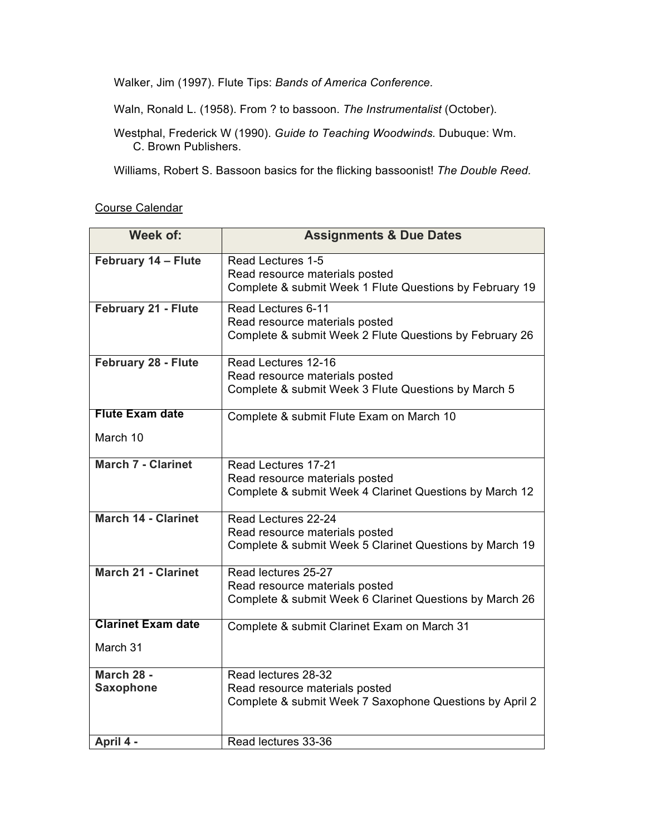Walker, Jim (1997). Flute Tips: *Bands of America Conference.*

Waln, Ronald L. (1958). From ? to bassoon. *The Instrumentalist* (October).

Westphal, Frederick W (1990). *Guide to Teaching Woodwinds.* Dubuque: Wm. C. Brown Publishers.

Williams, Robert S. Bassoon basics for the flicking bassoonist! *The Double Reed.* 

Course Calendar

| Week of:                       | <b>Assignments &amp; Due Dates</b>                                                                               |
|--------------------------------|------------------------------------------------------------------------------------------------------------------|
| February 14 - Flute            | Read Lectures 1-5<br>Read resource materials posted<br>Complete & submit Week 1 Flute Questions by February 19   |
| <b>February 21 - Flute</b>     | Read Lectures 6-11<br>Read resource materials posted<br>Complete & submit Week 2 Flute Questions by February 26  |
| February 28 - Flute            | Read Lectures 12-16<br>Read resource materials posted<br>Complete & submit Week 3 Flute Questions by March 5     |
| <b>Flute Exam date</b>         | Complete & submit Flute Exam on March 10                                                                         |
| March 10                       |                                                                                                                  |
| <b>March 7 - Clarinet</b>      | Read Lectures 17-21<br>Read resource materials posted<br>Complete & submit Week 4 Clarinet Questions by March 12 |
| <b>March 14 - Clarinet</b>     | Read Lectures 22-24<br>Read resource materials posted<br>Complete & submit Week 5 Clarinet Questions by March 19 |
| <b>March 21 - Clarinet</b>     | Read lectures 25-27<br>Read resource materials posted<br>Complete & submit Week 6 Clarinet Questions by March 26 |
| <b>Clarinet Exam date</b>      | Complete & submit Clarinet Exam on March 31                                                                      |
| March 31                       |                                                                                                                  |
| March 28 -<br><b>Saxophone</b> | Read lectures 28-32<br>Read resource materials posted<br>Complete & submit Week 7 Saxophone Questions by April 2 |
| April 4 -                      | Read lectures 33-36                                                                                              |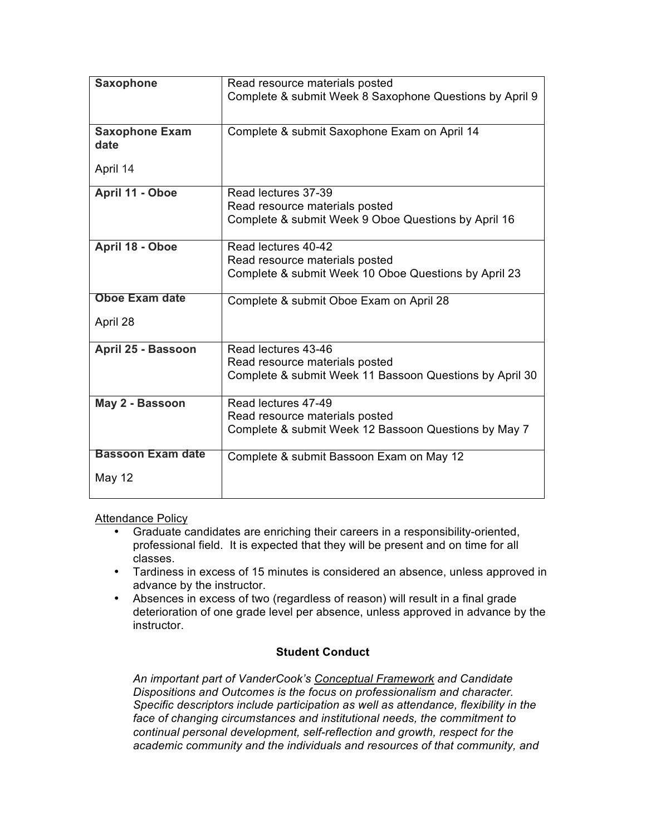| <b>Saxophone</b>         | Read resource materials posted                          |
|--------------------------|---------------------------------------------------------|
|                          | Complete & submit Week 8 Saxophone Questions by April 9 |
|                          |                                                         |
| <b>Saxophone Exam</b>    | Complete & submit Saxophone Exam on April 14            |
| date                     |                                                         |
| April 14                 |                                                         |
|                          |                                                         |
| April 11 - Oboe          | Read lectures 37-39                                     |
|                          | Read resource materials posted                          |
|                          | Complete & submit Week 9 Oboe Questions by April 16     |
| April 18 - Oboe          | Read lectures 40-42                                     |
|                          | Read resource materials posted                          |
|                          | Complete & submit Week 10 Oboe Questions by April 23    |
| <b>Oboe Exam date</b>    | Complete & submit Oboe Exam on April 28                 |
|                          |                                                         |
| April 28                 |                                                         |
| April 25 - Bassoon       | Read lectures 43-46                                     |
|                          | Read resource materials posted                          |
|                          | Complete & submit Week 11 Bassoon Questions by April 30 |
| May 2 - Bassoon          | Read lectures 47-49                                     |
|                          | Read resource materials posted                          |
|                          | Complete & submit Week 12 Bassoon Questions by May 7    |
| <b>Bassoon Exam date</b> | Complete & submit Bassoon Exam on May 12                |
|                          |                                                         |
| May 12                   |                                                         |
|                          |                                                         |

Attendance Policy

- Graduate candidates are enriching their careers in a responsibility-oriented, professional field. It is expected that they will be present and on time for all classes.
- Tardiness in excess of 15 minutes is considered an absence, unless approved in advance by the instructor.
- Absences in excess of two (regardless of reason) will result in a final grade deterioration of one grade level per absence, unless approved in advance by the instructor.

# **Student Conduct**

*An important part of VanderCook's Conceptual Framework and Candidate Dispositions and Outcomes is the focus on professionalism and character. Specific descriptors include participation as well as attendance, flexibility in the*  face of changing circumstances and institutional needs, the commitment to *continual personal development, self-reflection and growth, respect for the academic community and the individuals and resources of that community, and*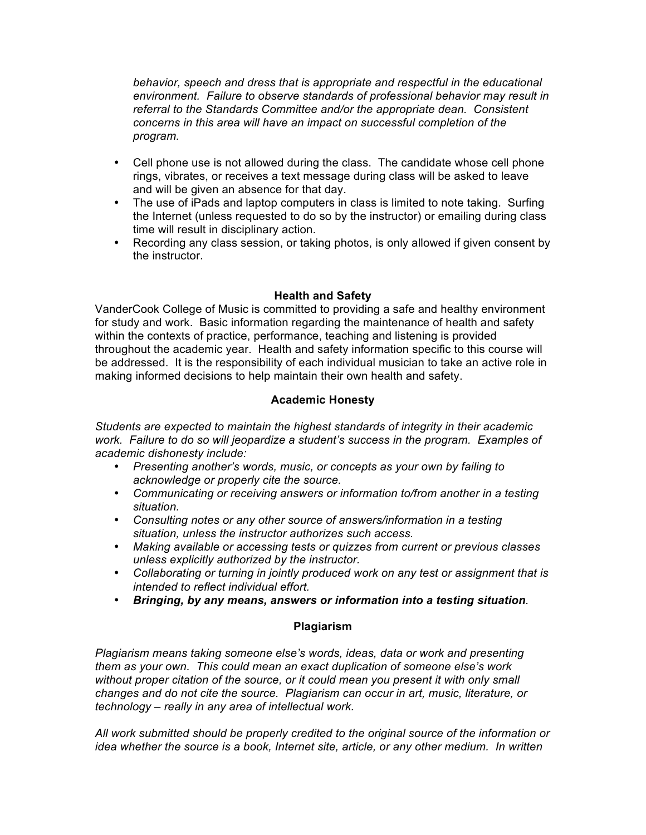*behavior, speech and dress that is appropriate and respectful in the educational environment. Failure to observe standards of professional behavior may result in referral to the Standards Committee and/or the appropriate dean. Consistent concerns in this area will have an impact on successful completion of the program.*

- Cell phone use is not allowed during the class. The candidate whose cell phone rings, vibrates, or receives a text message during class will be asked to leave and will be given an absence for that day.
- The use of iPads and laptop computers in class is limited to note taking. Surfing the Internet (unless requested to do so by the instructor) or emailing during class time will result in disciplinary action.
- Recording any class session, or taking photos, is only allowed if given consent by the instructor.

# **Health and Safety**

VanderCook College of Music is committed to providing a safe and healthy environment for study and work. Basic information regarding the maintenance of health and safety within the contexts of practice, performance, teaching and listening is provided throughout the academic year. Health and safety information specific to this course will be addressed. It is the responsibility of each individual musician to take an active role in making informed decisions to help maintain their own health and safety.

# **Academic Honesty**

*Students are expected to maintain the highest standards of integrity in their academic work. Failure to do so will jeopardize a student's success in the program. Examples of academic dishonesty include:*

- *Presenting another's words, music, or concepts as your own by failing to acknowledge or properly cite the source.*
- *Communicating or receiving answers or information to/from another in a testing situation.*
- *Consulting notes or any other source of answers/information in a testing situation, unless the instructor authorizes such access.*
- *Making available or accessing tests or quizzes from current or previous classes unless explicitly authorized by the instructor.*
- *Collaborating or turning in jointly produced work on any test or assignment that is intended to reflect individual effort.*
- *Bringing, by any means, answers or information into a testing situation.*

# **Plagiarism**

*Plagiarism means taking someone else's words, ideas, data or work and presenting them as your own. This could mean an exact duplication of someone else's work without proper citation of the source, or it could mean you present it with only small changes and do not cite the source. Plagiarism can occur in art, music, literature, or technology – really in any area of intellectual work.*

*All work submitted should be properly credited to the original source of the information or idea whether the source is a book, Internet site, article, or any other medium. In written*